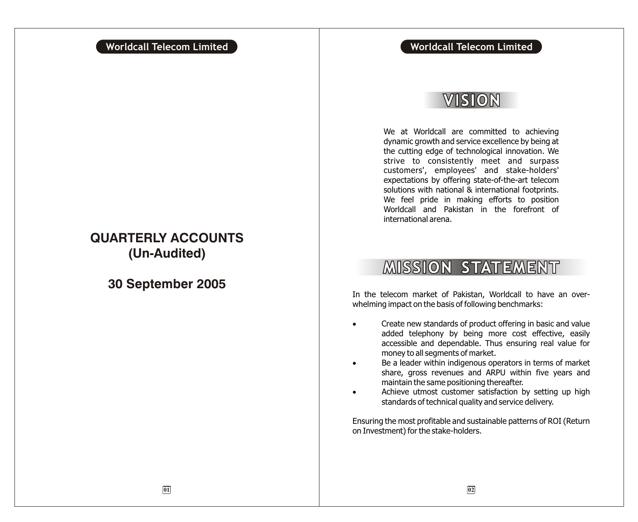## **Worldcall Telecom Limited Worldcall Telecom Limited**

## VISION

We at Worldcall are committed to achieving dynamic growth and service excellence by being at the cutting edge of technological innovation. We strive to consistently meet and surpass customers', employees' and stake-holders' expectations by offering state-of-the-art telecom solutions with national & international footprints. We feel pride in making efforts to position Worldcall and Pakistan in the forefront of international arena.

## **MISSION STATEMENT**

In the telecom market of Pakistan, Worldcall to have an overwhelming impact on the basis of following benchmarks:

> Create new standards of product offering in basic and value added telephony by being more cost effective, easily accessible and dependable. Thus ensuring real value for money to all segments of market.

> Be a leader within indigenous operators in terms of market share, gross revenues and ARPU within five years and maintain the same positioning thereafter.

> Achieve utmost customer satisfaction by setting up high standards of technical quality and service delivery.

Ensuring the most profitable and sustainable patterns of ROI (Return on Investment) for the stake-holders.

## **QUARTERLY ACCOUNTS (Un-Audited)**

**30 September 2005**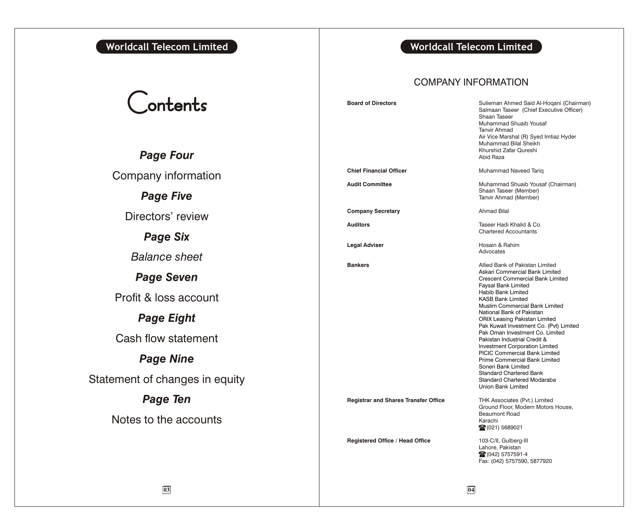## **Worldcall Telecom Limited Worldcall Telecom Limited**

# Contents

*Page Four* Company information *Page Five* Directors' review *Page Six Balance sheet Page Seven* Profit & loss account *Page Eight* Cash flow statement *Page Nine* Statement of changes in equity *Page Ten* Notes to the accounts

## COMPANY INFORMATION

| <b>Board of Directors</b>                   | Sulieman Ahmed Said Al-Hogani (Chairman)<br>Salmaan Taseer (Chief Executive Officer)<br>Shaan Taseer<br>Muhammad Shuaib Yousaf<br><b>Tanvir Ahmad</b><br>Air Vice Marshal (R) Syed Imtiaz Hyder<br>Muhammad Bilal Sheikh<br>Khurshid Zafar Qureshi<br>Abid Raza                                                                                                                                                                                                                                                                                                                                                                                   |
|---------------------------------------------|---------------------------------------------------------------------------------------------------------------------------------------------------------------------------------------------------------------------------------------------------------------------------------------------------------------------------------------------------------------------------------------------------------------------------------------------------------------------------------------------------------------------------------------------------------------------------------------------------------------------------------------------------|
| <b>Chief Financial Officer</b>              | Muhammad Naveed Tariq                                                                                                                                                                                                                                                                                                                                                                                                                                                                                                                                                                                                                             |
| <b>Audit Committee</b>                      | Muhammad Shuaib Yousaf (Chairman)<br>Shaan Taseer (Member)<br>Tanvir Ahmad (Member)                                                                                                                                                                                                                                                                                                                                                                                                                                                                                                                                                               |
| <b>Company Secretary</b>                    | <b>Ahmad Bilal</b>                                                                                                                                                                                                                                                                                                                                                                                                                                                                                                                                                                                                                                |
| Auditors                                    | Taseer Hadi Khalid & Co.<br><b>Chartered Accountants</b>                                                                                                                                                                                                                                                                                                                                                                                                                                                                                                                                                                                          |
| Legal Adviser                               | Hosain & Rahim<br>Advocates                                                                                                                                                                                                                                                                                                                                                                                                                                                                                                                                                                                                                       |
| <b>Bankers</b>                              | Allied Bank of Pakistan Limited<br>Askari Commercial Bank Limited<br><b>Crescent Commercial Bank Limited</b><br>Faysal Bank Limited<br><b>Habib Bank Limited</b><br><b>KASB Bank Limited</b><br>Muslim Commercial Bank Limited<br>National Bank of Pakistan<br><b>ORIX Leasing Pakistan Limited</b><br>Pak Kuwait Investment Co. (Pvt) Limited<br>Pak Oman Investment Co. Limited<br>Pakistan Industrial Credit &<br><b>Investment Corporation Limited</b><br><b>PICIC Commercial Bank Limited</b><br>Prime Commercial Bank Limited<br>Soneri Bank Limited<br><b>Standard Chartered Bank</b><br>Standard Chartered Modaraba<br>Union Bank Limited |
| <b>Registrar and Shares Transfer Office</b> | THK Associates (Pvt.) Limited<br>Ground Floor, Modern Motors House,<br><b>Beaumont Road</b><br>Karachi<br>28 (021) 5689021                                                                                                                                                                                                                                                                                                                                                                                                                                                                                                                        |
| Registered Office / Head Office             | 103-C/II, Gulberg-III<br>Lahore, Pakistan<br>28 (042) 5757591-4<br>Fax: (042) 5757590, 5877920                                                                                                                                                                                                                                                                                                                                                                                                                                                                                                                                                    |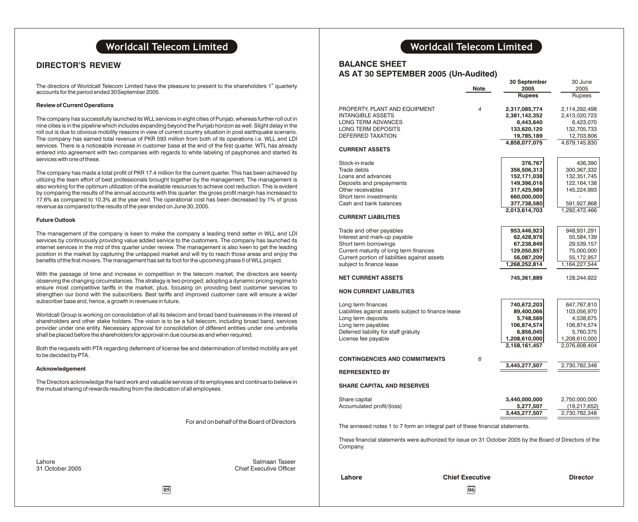## **DIRECTOR'S REVIEW**

The directors of Worldcall Telecom Limited have the pleasure to present to the shareholders 1<sup>st</sup> quarterly accounts for the period ended 30September 2005.

#### **Review of Current Operations**

The company has successfully launched its WLL services in eight cities of Punjab, whereas further roll out in nine cities is in the pipeline which includes expanding beyond the Punjab horizon as well. Slight delay in the roll out is due to obvious mobility reasons in view of current country situation in post earthquake scenario. The company has earned total revenue of PKR 593 million from both of its operations i.e. WLL and LDI services. There is a noticeable increase in customer base at the end of the first quarter. WTL has already entered into agreement with two companies with regards to white labeling of payphones and started its services with one of these.

The company has made a total profit of PKR 17.4 million for the current quarter. This has been achieved by utilizing the team effort of best professionals brought together by the management. The management is also working for the optimum utilization of the available resources to achieve cost reduction. This is evident by comparing the results of the annual accounts with this quarter: the gross profit margin has increased to 17.6% as compared to 10.3% at the year end. The operational cost has been decreased by 1% of gross revenue as compared to the results of the year ended on June 30, 2005.

#### **Future Outlook**

The management of the company is keen to make the company a leading trend setter in WLL and LDI services by continuously providing value added service to the customers. The company has launched its internet services in the mid of this quarter under review. The management is also keen to get the leading position in the market by capturing the untapped market and will try to reach those areas and enjoy the benefits of the first movers. The management has set its foot for the upcoming phase II of WLL project.

With the passage of time and increase in competition in the telecom market, the directors are keenly observing the changing circumstances. The strategy is two pronged; adopting a dynamic pricing regime to ensure most competitive tariffs in the market, plus, focusing on providing best customer services to strengthen our bond with the subscribers. Best tariffs and improved customer care will ensure a wider subscriber base and, hence, a growth in revenues in future.

Worldcall Group is working on consolidation of all its telecom and broad band businesses in the interest of shareholders and other stake holders. The vision is to be a full telecom, including broad band, services provider under one entity. Necessary approval for consolidation of different entities under one umbrella shall be placed before the shareholders for approval in due course as and when required.

Both the requests with PTA regarding deferment of license fee and determination of limited mobility are yet to be decided by PTA.

#### **Acknowledgement**

The Directors acknowledge the hard work and valuable services of its employees and continue to believe in the mutual sharing of rewards resulting from the dedication of all employees.

For and on behalf of the Board of Directors

Lahore Salmaan Taseer **Chief Executive Officer** 

## **Worldcall Telecom Limited Worldcall Telecom Limited**

## **BALANCE SHEET**

| AS AT 30 SEPTEMBER 2005 (Un-Audited)                |                | 30 September  | 30 June       |
|-----------------------------------------------------|----------------|---------------|---------------|
|                                                     | <b>Note</b>    | 2005          | 2005          |
|                                                     |                | <b>Rupees</b> | Rupees        |
| PROPERTY, PLANT AND EQUIPMENT                       | $\overline{4}$ | 2,317,085,774 | 2,114,292,498 |
| INTANGIBLE ASSETS                                   |                | 2,381,142,352 | 2,413,020,723 |
| LONG TERM ADVANCES                                  |                | 6,443,640     | 6,423,070     |
| LONG TERM DEPOSITS                                  |                | 133,620,120   | 132,705,733   |
| DEFERRED TAXATION                                   |                | 19,785,189    | 12,703,806    |
| <b>CURRENT ASSETS</b>                               |                | 4,858,077,075 | 4,679,145,830 |
|                                                     |                |               |               |
| Stock-in-trade                                      |                | 376,767       | 436,390       |
| Trade debts                                         |                | 356,506,313   | 300,367,332   |
| Loans and advances                                  |                | 152,171,038   | 132,351,745   |
| Deposits and prepayments                            |                | 149,396,016   | 122, 164, 138 |
| Other receivables                                   |                | 317,425,989   | 145,224,993   |
| Short term investments                              |                | 660,000,000   |               |
| Cash and bank balances                              |                | 377,738,580   | 591,927,868   |
| <b>CURRENT LIABILITIES</b>                          |                | 2,013,614,703 | 1,292,472,466 |
| Trade and other payables                            |                | 953,446,923   | 948,931,291   |
| Interest and mark-up payable                        |                | 62,428,976    | 55,584,139    |
| Short term borrowings                               |                | 67,238,849    | 29,539,157    |
| Current maturity of long term finances              |                | 129,050,857   | 75,000,000    |
| Current portion of liabilities against assets       |                | 56,087,209    | 55,172,957    |
| subject to finance lease                            |                | 1,268,252,814 | 1,164,227,544 |
| <b>NET CURRENT ASSETS</b>                           |                | 745,361,889   | 128,244,922   |
| <b>NON CURRENT LIABILITIES</b>                      |                |               |               |
|                                                     |                |               |               |
| Long term finances                                  |                | 740,672,203   | 647,767,810   |
| Liabilities against assets subject to finance lease |                | 89,400,066    | 103,056,970   |
| Long term deposits                                  |                | 5,748,569     | 4,538,675     |
| Long term payables                                  |                | 106,874,574   | 106,874,574   |
| Deferred liability for staff gratuity               |                | 6,856,045     | 5,760,375     |
| License fee payable                                 |                | 1,208,610,000 | 1,208,610,000 |
|                                                     |                | 2,158,161,457 | 2,076,608,404 |
| <b>CONTINGENCIES AND COMMITMENTS</b>                | 6              |               |               |
| <b>REPRESENTED BY</b>                               |                | 3,445,277,507 | 2,730,782,348 |
| <b>SHARE CAPITAL AND RESERVES</b>                   |                |               |               |

| Share capital             | 3,440,000,000 | 2.750.000.000 |
|---------------------------|---------------|---------------|
| Accumulated profit/(loss) | 5,277,507     | (19,217,652)  |
|                           | 3,445,277,507 | 2,730,782,348 |

The annexed notes 1 to 7 form an integral part of these financial statements.

These financial statements were authorized for issue on 31 October 2005 by the Board of Directors of the Company.

**Lahore Chief Executive Director**

**05 06**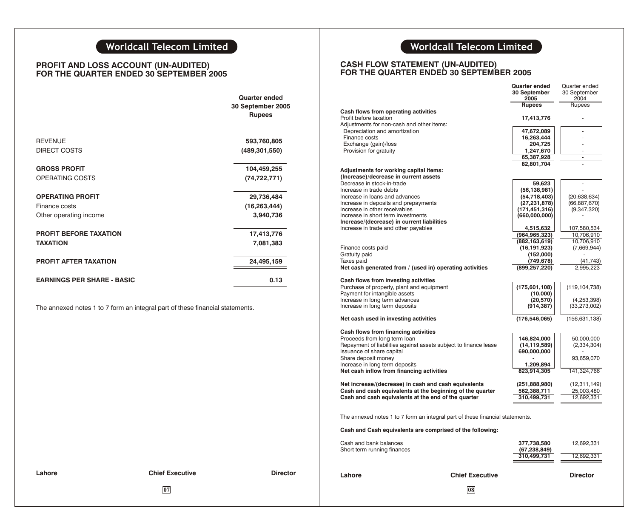## **PROFIT AND LOSS ACCOUNT (UN-AUDITED) FOR THE QUARTER ENDED 30 SEPTEMBER 2005**

|                                   | Quarter ended<br>30 September 2005<br><b>Rupees</b> |
|-----------------------------------|-----------------------------------------------------|
| <b>REVENUE</b>                    | 593,760,805                                         |
| <b>DIRECT COSTS</b>               | (489, 301, 550)                                     |
| <b>GROSS PROFIT</b>               | 104,459,255                                         |
| OPERATING COSTS                   | (74, 722, 771)                                      |
| <b>OPERATING PROFIT</b>           | 29,736,484                                          |
| Finance costs                     | (16, 263, 444)                                      |
| Other operating income            | 3,940,736                                           |
| PROFIT BEFORE TAXATION            | 17,413,776                                          |
| <b>TAXATION</b>                   | 7,081,383                                           |
| <b>PROFIT AFTER TAXATION</b>      | 24,495,159                                          |
| <b>EARNINGS PER SHARE - BASIC</b> | 0.13                                                |

The annexed notes 1 to 7 form an integral part of these financial statements.

## **Worldcall Telecom Limited Worldcall Telecom Limited**

### **CASH FLOW STATEMENT (UN-AUDITED) FOR THE QUARTER ENDED 30 SEPTEMBER 2005**

| <b>Quarter ended</b>               |                 |                                                                             |                                                                               | <b>Quarter ended</b><br>30 September<br>2005 | Quarter ended<br>30 September<br>2004 |
|------------------------------------|-----------------|-----------------------------------------------------------------------------|-------------------------------------------------------------------------------|----------------------------------------------|---------------------------------------|
| 30 September 2005                  |                 |                                                                             |                                                                               | <b>Rupees</b>                                | Rupees                                |
| <b>Rupees</b>                      |                 | Cash flows from operating activities                                        |                                                                               |                                              |                                       |
|                                    |                 | Profit before taxation<br>Adjustments for non-cash and other items:         |                                                                               | 17,413,776                                   |                                       |
|                                    |                 | Depreciation and amortization                                               |                                                                               | 47,672,089                                   |                                       |
|                                    |                 | Finance costs                                                               |                                                                               | 16,263,444                                   |                                       |
| 593,760,805                        |                 | Exchange (gain)/loss                                                        |                                                                               | 204,725                                      |                                       |
| (489, 301, 550)                    |                 | Provision for gratuity                                                      |                                                                               | 1,247,670                                    |                                       |
|                                    |                 |                                                                             |                                                                               | 65,387,928<br>82,801,704                     | $\sim$                                |
| 104,459,255                        |                 | Adjustments for working capital items:                                      |                                                                               |                                              |                                       |
| (74, 722, 771)                     |                 | (Increase)/decrease in current assets                                       |                                                                               |                                              |                                       |
|                                    |                 | Decrease in stock-in-trade                                                  |                                                                               | 59,623                                       | ÷.                                    |
|                                    |                 | Increase in trade debts                                                     |                                                                               | (56, 138, 981)                               |                                       |
| 29,736,484                         |                 | Increase in loans and advances                                              |                                                                               | (54, 718, 403)                               | (20, 638, 634)                        |
| (16, 263, 444)                     |                 | Increase in deposits and prepayments<br>Increase in other receivables       |                                                                               | (27, 231, 878)<br>(171, 451, 316)            | (66, 887, 670)<br>(9,347,320)         |
| 3,940,736                          |                 | Increase in short term investments                                          |                                                                               | (660,000,000)                                |                                       |
|                                    |                 | Increase/(decrease) in current liabilities                                  |                                                                               |                                              |                                       |
|                                    |                 | Increase in trade and other payables                                        |                                                                               | 4,515,632                                    | 107,580,534                           |
| 17,413,776                         |                 |                                                                             |                                                                               | (964,965,323)                                | 10,706,910                            |
| 7,081,383                          |                 | Finance costs paid                                                          |                                                                               | (882,163,619)<br>(16, 191, 923)              | 10,706,910<br>(7,669,944)             |
|                                    |                 | Gratuity paid                                                               |                                                                               | (152,000)                                    |                                       |
| 24,495,159                         |                 | Taxes paid                                                                  |                                                                               | (749,678)                                    | (41, 743)                             |
|                                    |                 |                                                                             | Net cash generated from / (used in) operating activities                      | (899, 257, 220)                              | 2,995,223                             |
|                                    | 0.13            | Cash flows from investing activities                                        |                                                                               |                                              |                                       |
|                                    |                 | Purchase of property, plant and equipment                                   |                                                                               | (175, 601, 108)                              | (119, 104, 738)                       |
|                                    |                 | Payment for intangible assets                                               |                                                                               | (10,000)                                     |                                       |
|                                    |                 | Increase in long term advances<br>Increase in long term deposits            |                                                                               | (20, 570)<br>(914, 387)                      | (4,253,398)<br>(33, 273, 002)         |
| art of these financial statements. |                 |                                                                             |                                                                               |                                              |                                       |
|                                    |                 | Net cash used in investing activities                                       |                                                                               | (176, 546, 065)                              | (156, 631, 138)                       |
|                                    |                 | Cash flows from financing activities                                        |                                                                               |                                              |                                       |
|                                    |                 | Proceeds from long term loan                                                |                                                                               | 146,824,000                                  | 50,000,000                            |
|                                    |                 |                                                                             | Repayment of liabilities against assets subject to finance lease              | (14, 119, 589)                               | (2, 334, 304)                         |
|                                    |                 | Issuance of share capital                                                   |                                                                               | 690,000,000                                  |                                       |
|                                    |                 | Share deposit money                                                         |                                                                               |                                              | 93,659,070                            |
|                                    |                 | Increase in long term deposits<br>Net cash inflow from financing activities |                                                                               | 1,209,894<br>823,914,305                     | 141,324,766                           |
|                                    |                 |                                                                             |                                                                               |                                              |                                       |
|                                    |                 | Net increase/(decrease) in cash and cash equivalents                        |                                                                               | (251, 888, 980)                              | (12, 311, 149)                        |
|                                    |                 |                                                                             | Cash and cash equivalents at the beginning of the quarter                     | 562,388,711                                  | 25,003,480                            |
|                                    |                 | Cash and cash equivalents at the end of the quarter                         |                                                                               | 310,499,731                                  | 12,692,331                            |
|                                    |                 |                                                                             | The annexed notes 1 to 7 form an integral part of these financial statements. |                                              |                                       |
|                                    |                 |                                                                             | Cash and Cash equivalents are comprised of the following:                     |                                              |                                       |
|                                    |                 |                                                                             |                                                                               |                                              |                                       |
|                                    |                 | Cash and bank balances                                                      |                                                                               | 377,738,580                                  | 12,692,331                            |
|                                    |                 | Short term running finances                                                 |                                                                               | (67, 238, 849)<br>310,499,731                | 12,692,331                            |
|                                    |                 |                                                                             |                                                                               |                                              |                                       |
| f Executive                        | <b>Director</b> | Lahore                                                                      | <b>Chief Executive</b>                                                        |                                              | <b>Director</b>                       |
| 07                                 |                 |                                                                             | 08                                                                            |                                              |                                       |
|                                    |                 |                                                                             |                                                                               |                                              |                                       |

**Lahore Chief Executive Director**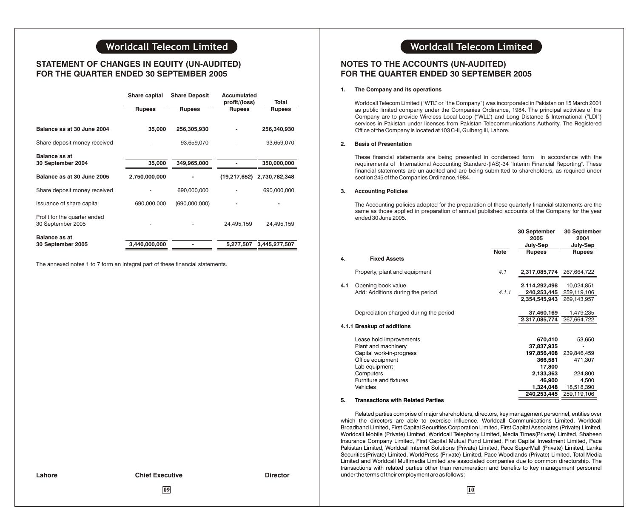## **STATEMENT OF CHANGES IN EQUITY (UN-AUDITED) FOR THE QUARTER ENDED 30 SEPTEMBER 2005**

|                                                   | Share capital | <b>Share Deposit</b> | Accumulated<br>profit/(loss) | Total                      |
|---------------------------------------------------|---------------|----------------------|------------------------------|----------------------------|
|                                                   | <b>Rupees</b> | <b>Rupees</b>        | <b>Rupees</b>                | <b>Rupees</b>              |
| Balance as at 30 June 2004                        | 35,000        | 256,305,930          |                              | 256,340,930                |
| Share deposit money received                      |               | 93,659,070           |                              | 93,659,070                 |
| Balance as at                                     |               |                      |                              |                            |
| 30 September 2004                                 | 35,000        | 349.965.000          |                              | 350,000,000                |
| Balance as at 30 June 2005                        | 2,750,000,000 |                      |                              | (19,217,652) 2,730,782,348 |
| Share deposit money received                      |               | 690,000,000          |                              | 690,000,000                |
| Issuance of share capital                         | 690,000,000   | (690,000,000)        |                              |                            |
| Profit for the quarter ended<br>30 September 2005 |               |                      | 24,495,159                   | 24,495,159                 |
| Balance as at                                     |               |                      |                              |                            |
| 30 September 2005                                 | 3,440,000,000 |                      | 5,277,507                    | 3,445,277,507              |

The annexed notes 1 to 7 form an integral part of these financial statements.

## **Worldcall Telecom Limited Worldcall Telecom Limited**

## **NOTES TO THE ACCOUNTS (UN-AUDITED) FOR THE QUARTER ENDED 30 SEPTEMBER 2005**

### **1. The Company and its operations**

Worldcall Telecom Limited ("WTL" or "the Company") was incorporated in Pakistan on 15 March 2001 as public limited company under the Companies Ordinance, 1984. The principal activities of the Company are to provide Wireless Local Loop ("WLL") and Long Distance & International ("LDI") services in Pakistan under licenses from Pakistan Telecommunications Authority. The Registered Office of the Company is located at 103 C-II, Gulberg III, Lahore.

### **2. Basis of Presentation**

These financial statements are being presented in condensed form in accordance with the requirements of International Accounting Standard-(IAS)-34 "Interim Financial Reporting". These financial statements are un-audited and are being submitted to shareholders, as required under section 245 of the Companies Ordinance,1984.

### **3. Accounting Policies**

The Accounting policies adopted for the preparation of these quarterly financial statements are the same as those applied in preparation of annual published accounts of the Company for the year ended 30 June 2005.

|     |                                          |             | 30 September<br>2005<br>July-Sep | 30 September<br>2004<br>July-Sep |
|-----|------------------------------------------|-------------|----------------------------------|----------------------------------|
| 4.  | <b>Fixed Assets</b>                      | <b>Note</b> | <b>Rupees</b>                    | <b>Rupees</b>                    |
|     |                                          |             |                                  |                                  |
|     | Property, plant and equipment            | 4.1         | 2,317,085,774                    | 267,664,722                      |
| 4.1 | Opening book value                       |             | 2,114,292,498                    | 10,024,851                       |
|     | Add: Additions during the period         | 4.1.1       | 240,253,445                      | 259,119,106                      |
|     |                                          |             | 2,354,545,943                    | 269,143,957                      |
|     | Depreciation charged during the period   |             | 37,460,169                       | 1,479,235                        |
|     |                                          |             | 2,317,085,774                    | 267,664,722                      |
|     | 4.1.1 Breakup of additions               |             |                                  |                                  |
|     | Lease hold improvements                  |             | 670,410                          | 53,650                           |
|     | Plant and machinery                      |             | 37,837,935                       |                                  |
|     | Capital work-in-progress                 |             | 197,856,408                      | 239,846,459                      |
|     | Office equipment                         |             | 366,581                          | 471,307                          |
|     | Lab equipment                            |             | 17,800                           |                                  |
|     | Computers                                |             | 2,133,363                        | 224,800                          |
|     | Furniture and fixtures                   |             | 46,900                           | 4,500                            |
|     | Vehicles                                 |             | 1,324,048                        | 18,518,390                       |
|     |                                          |             | 240,253,445                      | 259,119,106                      |
| 5.  | <b>Transactions with Related Parties</b> |             |                                  |                                  |

#### Related parties comprise of major shareholders, directors, key management personnel, entities over which the directors are able to exercise influence. Worldcall Communications Limited, Worldcall Broadband Limited, First Capital Securities Corporation Limited, First Capital Associates (Private) Limited, Worldcall Mobile (Private) Limited, Worldcall Telephony Limited, Media Times(Private) Limited, Shaheen Insurance Company Limited, First Capital Mutual Fund Limited, First Capital Investment Limited, Pace Pakistan Limited, Worldcall Internet Solutions (Private) Limited, Pace SuperMall (Private) Limited, Lanka Securities(Private) Limited, WorldPress (Private) Limited, Pace Woodlands (Private) Limited, Total Media Limited and Worldcall Multimedia Limited are associated companies due to common directorship. The transactions with related parties other than renumeration and benefits to key management personnel under the terms of their employment are as follows:

### **Lahore Chief Executive Director**